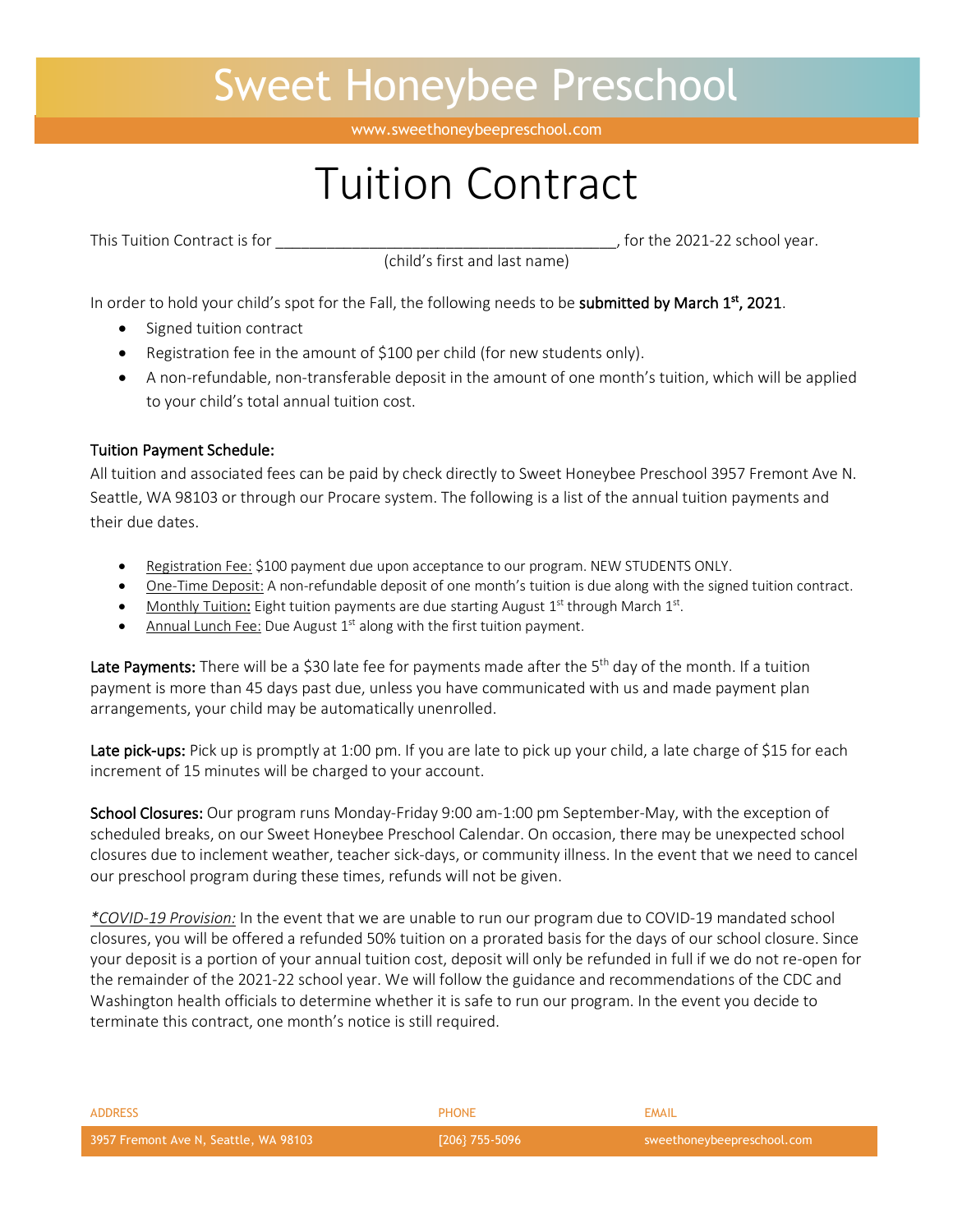## Sweet Honeybee Preschool

www.sweethoneybeepreschool.com

# Tuition Contract

(child's first and last name)

This Tuition Contract is for \_\_\_\_\_\_\_\_\_\_\_\_\_\_\_\_\_\_\_\_\_\_\_\_\_\_\_\_\_\_\_\_\_\_\_\_\_\_\_\_, for the 2021-22 school year.

In order to hold your child's spot for the Fall, the following needs to be **submitted by March 1<sup>st</sup>**, 2021.

- Signed tuition contract
- Registration fee in the amount of \$100 per child (for new students only).
- A non-refundable, non-transferable deposit in the amount of one month's tuition, which will be applied to your child's total annual tuition cost.

#### Tuition Payment Schedule:

All tuition and associated fees can be paid by check directly to Sweet Honeybee Preschool 3957 Fremont Ave N. Seattle, WA 98103 or through our Procare system. The following is a list of the annual tuition payments and their due dates.

- Registration Fee: \$100 payment due upon acceptance to our program. NEW STUDENTS ONLY.
- One-Time Deposit: A non-refundable deposit of one month's tuition is due along with the signed tuition contract.
- Monthly Tuition: Eight tuition payments are due starting August  $1<sup>st</sup>$  through March  $1<sup>st</sup>$ .
- Annual Lunch Fee: Due August  $1<sup>st</sup>$  along with the first tuition payment.

Late Payments: There will be a \$30 late fee for payments made after the 5<sup>th</sup> day of the month. If a tuition payment is more than 45 days past due, unless you have communicated with us and made payment plan arrangements, your child may be automatically unenrolled.

Late pick-ups: Pick up is promptly at 1:00 pm. If you are late to pick up your child, a late charge of \$15 for each increment of 15 minutes will be charged to your account.

School Closures: Our program runs Monday-Friday 9:00 am-1:00 pm September-May, with the exception of scheduled breaks, on our Sweet Honeybee Preschool Calendar. On occasion, there may be unexpected school closures due to inclement weather, teacher sick-days, or community illness. In the event that we need to cancel our preschool program during these times, refunds will not be given.

*\*COVID-19 Provision:* In the event that we are unable to run our program due to COVID-19 mandated school closures, you will be offered a refunded 50% tuition on a prorated basis for the days of our school closure. Since your deposit is a portion of your annual tuition cost, deposit will only be refunded in full if we do not re-open for the remainder of the 2021-22 school year. We will follow the guidance and recommendations of the CDC and Washington health officials to determine whether it is safe to run our program. In the event you decide to terminate this contract, one month's notice is still required.

| $\sqrt{206}$ 755-5096 | sweethoneybeepreschool.com |
|-----------------------|----------------------------|
| <b>PHONE</b>          | EMAIL                      |
|                       |                            |